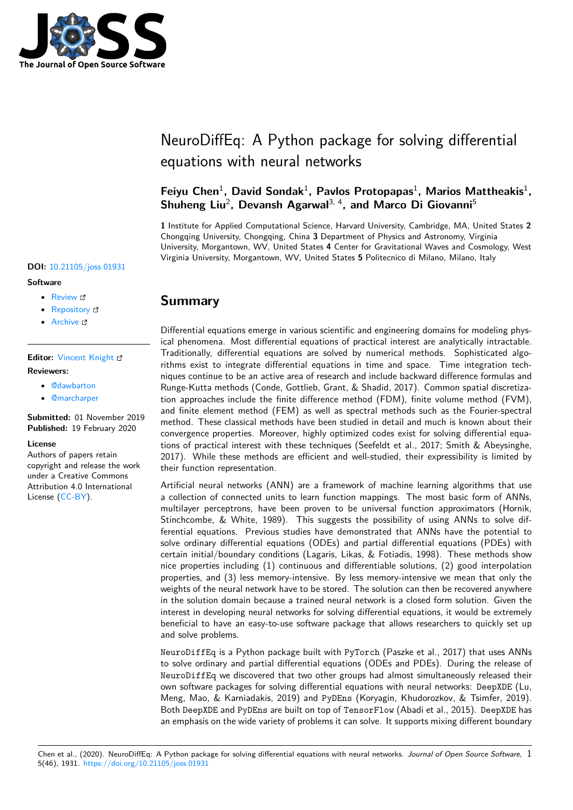

# NeuroDiffEq: A Python package for solving differential equations with neural networks

## Feiyu Chen<sup>1</sup>, David Sondak<sup>1</sup>, Pavlos Protopapas<sup>1</sup>, Marios Mattheakis<sup>1</sup>, **Shuheng Liu**<sup>2</sup> **, Devansh Agarwal**3, 4**, and Marco Di Giovanni**<sup>5</sup>

**1** Institute for Applied Computational Science, Harvard University, Cambridge, MA, United States **2** Chongqing University, Chongqing, China **3** Department of Physics and Astronomy, Virginia University, Morgantown, WV, United States **4** Center for Gravitational Waves and Cosmology, West Virginia University, Morgantown, WV, United States **5** Politecnico di Milano, Milano, Italy

## **DOI:** 10.21105/joss.01931

#### **Software**

- Review C
- [Repository](https://doi.org/10.21105/joss.01931) &
- Archive

### **Editor:** [Vincent K](https://github.com/odegym/neurodiffeq)night **Revie[wers:](https://doi.org/10.5281/zenodo.3676028)**

- @dawbarton
- @[marcharper](https://vknight.org)

**Submitted:** 01 November 2019 **Published:** [19 Feb](https://github.com/dawbarton)ruary 2020

#### **Licen[se](https://github.com/marcharper)**

Authors of papers retain copyright and release the work under a Creative Commons Attribution 4.0 International License (CC-BY).

## **Summary**

Differential equations emerge in various scientific and engineering domains for modeling physical phenomena. Most differential equations of practical interest are analytically intractable. Traditionally, differential equations are solved by numerical methods. Sophisticated algorithms exist to integrate differential equations in time and space. Time integration techniques continue to be an active area of research and include backward difference formulas and Runge-Kutta methods (Conde, Gottlieb, Grant, & Shadid, 2017). Common spatial discretization approaches include the finite difference method (FDM), finite volume method (FVM), and finite element method (FEM) as well as spectral methods such as the Fourier-spectral method. These classical methods have been studied in detail and much is known about their convergence properties. Moreover, highly optimized codes exist for solving differential equations of practical interest with these techniques (Seefeldt et al., 2017; Smith & Abeysinghe, 2017). While these methods are efficient and well-studied, their expressibility is limited by their function representation.

Artificial neural networks (ANN) are a framework of machine learning algorithms that use a collection of connected units to learn function mappings. The most basic form of ANNs, multilayer perceptrons, have been proven to be universal function approximators (Hornik, Stinchcombe, & White, 1989). This suggests the possibility of using ANNs to solve differential equations. Previous studies have demonstrated that ANNs have the potential to solve ordinary differential equations (ODEs) and partial differential equations (PDEs) with certain initial/boundary conditions (Lagaris, Likas, & Fotiadis, 1998). These methods show nice properties including (1) continuous and differentiable solutions, (2) good interpolation properties, and (3) less memory-intensive. By less memory-intensive we mean that only the weights of the neural network have to be stored. The solution can then be recovered anywhere in the solution domain because a trained neural network is a closed form solution. Given the interest in developing neural networks for solving differential equations, it would be extremely beneficial to have an easy-to-use software package that allows researchers to quickly set up and solve problems.

NeuroDiffEq is a Python package built with PyTorch (Paszke et al., 2017) that uses ANNs to solve ordinary and partial differential equations (ODEs and PDEs). During the release of NeuroDiffEq we discovered that two other groups had almost simultaneously released their own software packages for solving differential equations with neural networks: DeepXDE (Lu, Meng, Mao, & Karniadakis, 2019) and PyDEns (Koryagin, Khudorozkov, & Tsimfer, 2019). Both DeepXDE and PyDEns are built on top of TensorFlow (Abadi et al., 2015). DeepXDE has an emphasis on the wide variety of problems it can solve. It supports mixing different boundary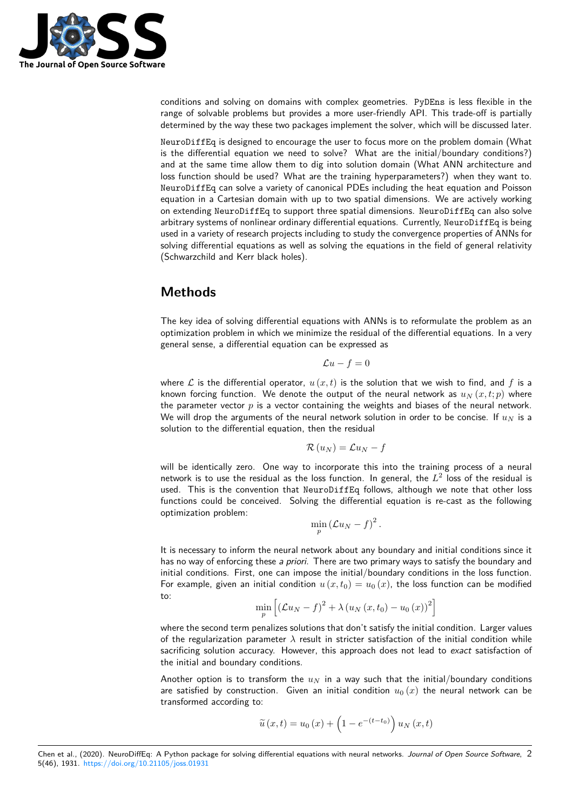

conditions and solving on domains with complex geometries. PyDEns is less flexible in the range of solvable problems but provides a more user-friendly API. This trade-off is partially determined by the way these two packages implement the solver, which will be discussed later.

NeuroDiffEq is designed to encourage the user to focus more on the problem domain (What is the differential equation we need to solve? What are the initial/boundary conditions?) and at the same time allow them to dig into solution domain (What ANN architecture and loss function should be used? What are the training hyperparameters?) when they want to. NeuroDiffEq can solve a variety of canonical PDEs including the heat equation and Poisson equation in a Cartesian domain with up to two spatial dimensions. We are actively working on extending NeuroDiffEq to support three spatial dimensions. NeuroDiffEq can also solve arbitrary systems of nonlinear ordinary differential equations. Currently, NeuroDiffEq is being used in a variety of research projects including to study the convergence properties of ANNs for solving differential equations as well as solving the equations in the field of general relativity (Schwarzchild and Kerr black holes).

## **Methods**

The key idea of solving differential equations with ANNs is to reformulate the problem as an optimization problem in which we minimize the residual of the differential equations. In a very general sense, a differential equation can be expressed as

$$
\mathcal{L}u - f = 0
$$

where  $\mathcal L$  is the differential operator,  $u(x,t)$  is the solution that we wish to find, and f is a known forcing function. We denote the output of the neural network as  $u_N(x, t; p)$  where the parameter vector *p* is a vector containing the weights and biases of the neural network. We will drop the arguments of the neural network solution in order to be concise. If  $u_N$  is a solution to the differential equation, then the residual

$$
\mathcal{R}\left(u_{N}\right)=\mathcal{L}u_{N}-f
$$

will be identically zero. One way to incorporate this into the training process of a neural network is to use the residual as the loss function. In general, the  $L^2$  loss of the residual is used. This is the convention that NeuroDiffEq follows, although we note that other loss functions could be conceived. Solving the differential equation is re-cast as the following optimization problem:

$$
\min_{p} \left( \mathcal{L} u_N - f \right)^2.
$$

It is necessary to inform the neural network about any boundary and initial conditions since it has no way of enforcing these *a priori*. There are two primary ways to satisfy the boundary and initial conditions. First, one can impose the initial/boundary conditions in the loss function. For example, given an initial condition  $u(x, t_0) = u_0(x)$ , the loss function can be modified to:

$$
\min_{p} \left[ \left( \mathcal{L} u_N - f \right)^2 + \lambda \left( u_N \left( x, t_0 \right) - u_0 \left( x \right) \right)^2 \right]
$$

where the second term penalizes solutions that don't satisfy the initial condition. Larger values of the regularization parameter *λ* result in stricter satisfaction of the initial condition while sacrificing solution accuracy. However, this approach does not lead to *exact* satisfaction of the initial and boundary conditions.

Another option is to transform the  $u_N$  in a way such that the initial/boundary conditions are satisfied by construction. Given an initial condition  $u_0(x)$  the neural network can be transformed according to:

$$
\widetilde{u}(x,t) = u_0(x) + \left(1 - e^{-(t-t_0)}\right)u_N(x,t)
$$

Chen et al., (2020). NeuroDiffEq: A Python package for solving differential equations with neural networks. *Journal of Open Source Software*, 25(46), 1931. https://doi.org/10.21105/joss.01931